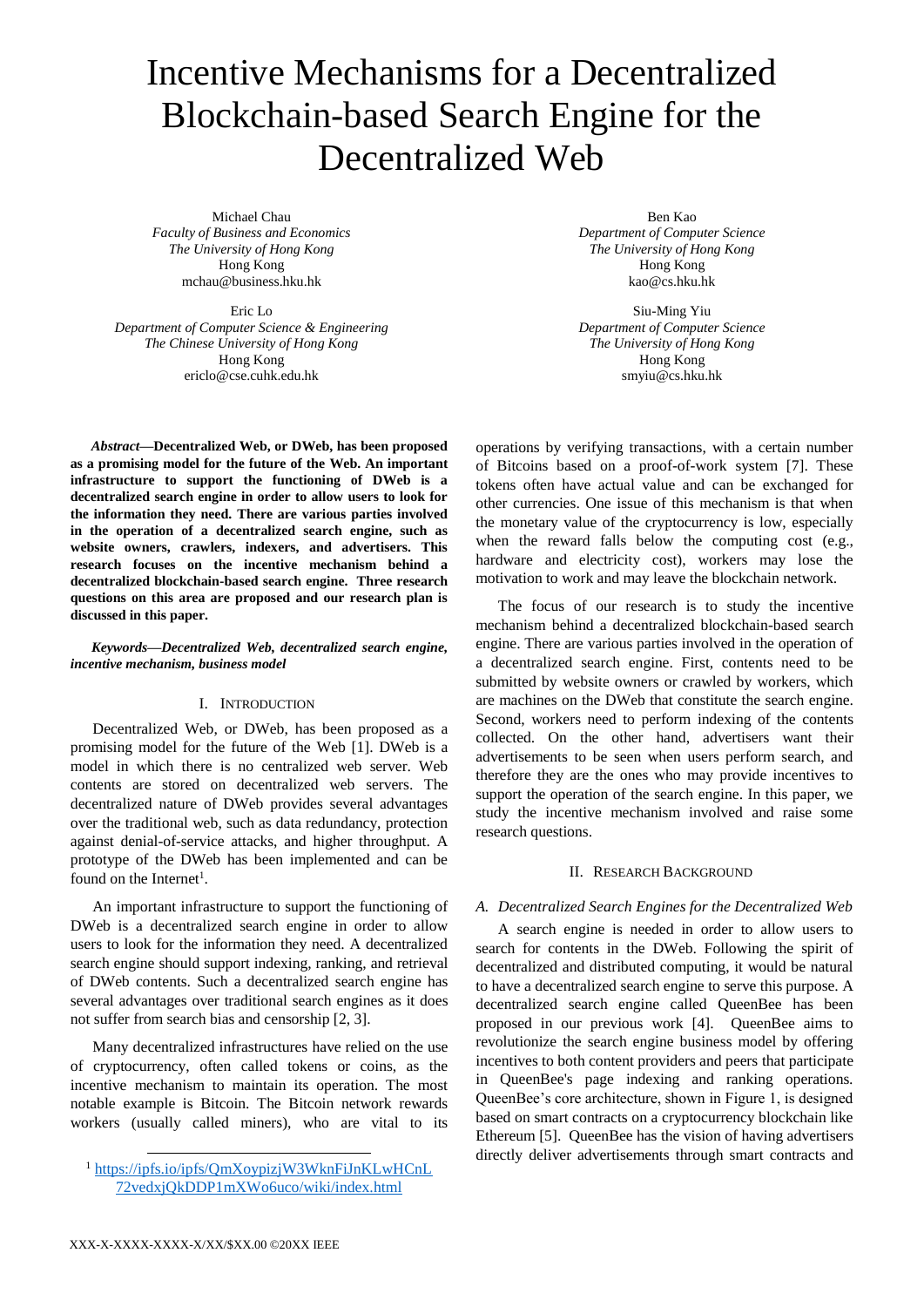# Incentive Mechanisms for a Decentralized Blockchain-based Search Engine for the Decentralized Web

Michael Chau *Faculty of Business and Economics The University of Hong Kong* Hong Kong mchau@business.hku.hk

Eric Lo *Department of Computer Science & Engineering The Chinese University of Hong Kong* Hong Kong ericlo@cse.cuhk.edu.hk

*Abstract***—Decentralized Web, or DWeb, has been proposed as a promising model for the future of the Web. An important infrastructure to support the functioning of DWeb is a decentralized search engine in order to allow users to look for the information they need. There are various parties involved in the operation of a decentralized search engine, such as website owners, crawlers, indexers, and advertisers. This research focuses on the incentive mechanism behind a decentralized blockchain-based search engine. Three research questions on this area are proposed and our research plan is discussed in this paper.**

## *Keywords—Decentralized Web, decentralized search engine, incentive mechanism, business model*

# I. INTRODUCTION

Decentralized Web, or DWeb, has been proposed as a promising model for the future of the Web [1]. DWeb is a model in which there is no centralized web server. Web contents are stored on decentralized web servers. The decentralized nature of DWeb provides several advantages over the traditional web, such as data redundancy, protection against denial-of-service attacks, and higher throughput. A prototype of the DWeb has been implemented and can be found on the Internet<sup>1</sup>.

An important infrastructure to support the functioning of DWeb is a decentralized search engine in order to allow users to look for the information they need. A decentralized search engine should support indexing, ranking, and retrieval of DWeb contents. Such a decentralized search engine has several advantages over traditional search engines as it does not suffer from search bias and censorship [2, 3].

Many decentralized infrastructures have relied on the use of cryptocurrency, often called tokens or coins, as the incentive mechanism to maintain its operation. The most notable example is Bitcoin. The Bitcoin network rewards workers (usually called miners), who are vital to its

Ben Kao *Department of Computer Science The University of Hong Kong* Hong Kong kao@cs.hku.hk

Siu-Ming Yiu *Department of Computer Science The University of Hong Kong* Hong Kong smyiu@cs.hku.hk

operations by verifying transactions, with a certain number of Bitcoins based on a proof-of-work system [7]. These tokens often have actual value and can be exchanged for other currencies. One issue of this mechanism is that when the monetary value of the cryptocurrency is low, especially when the reward falls below the computing cost (e.g., hardware and electricity cost), workers may lose the motivation to work and may leave the blockchain network.

The focus of our research is to study the incentive mechanism behind a decentralized blockchain-based search engine. There are various parties involved in the operation of a decentralized search engine. First, contents need to be submitted by website owners or crawled by workers, which are machines on the DWeb that constitute the search engine. Second, workers need to perform indexing of the contents collected. On the other hand, advertisers want their advertisements to be seen when users perform search, and therefore they are the ones who may provide incentives to support the operation of the search engine. In this paper, we study the incentive mechanism involved and raise some research questions.

## II. RESEARCH BACKGROUND

## *A. Decentralized Search Engines for the Decentralized Web*

A search engine is needed in order to allow users to search for contents in the DWeb. Following the spirit of decentralized and distributed computing, it would be natural to have a decentralized search engine to serve this purpose. A decentralized search engine called QueenBee has been proposed in our previous work [4]. QueenBee aims to revolutionize the search engine business model by offering incentives to both content providers and peers that participate in QueenBee's page indexing and ranking operations. QueenBee's core architecture, shown in Figure 1, is designed based on smart contracts on a cryptocurrency blockchain like Ethereum [5]. QueenBee has the vision of having advertisers directly deliver advertisements through smart contracts and

 $\overline{\phantom{a}}$ 

<sup>&</sup>lt;sup>1</sup> [https://ipfs.io/ipfs/QmXoypizjW3WknFiJnKLwHCnL](https://ipfs.io/ipfs/QmXoypizjW3WknFiJnKLwHCnL72vedxjQkDDP1mXWo6uco/wiki/index.html) [72vedxjQkDDP1mXWo6uco/wiki/index.html](https://ipfs.io/ipfs/QmXoypizjW3WknFiJnKLwHCnL72vedxjQkDDP1mXWo6uco/wiki/index.html)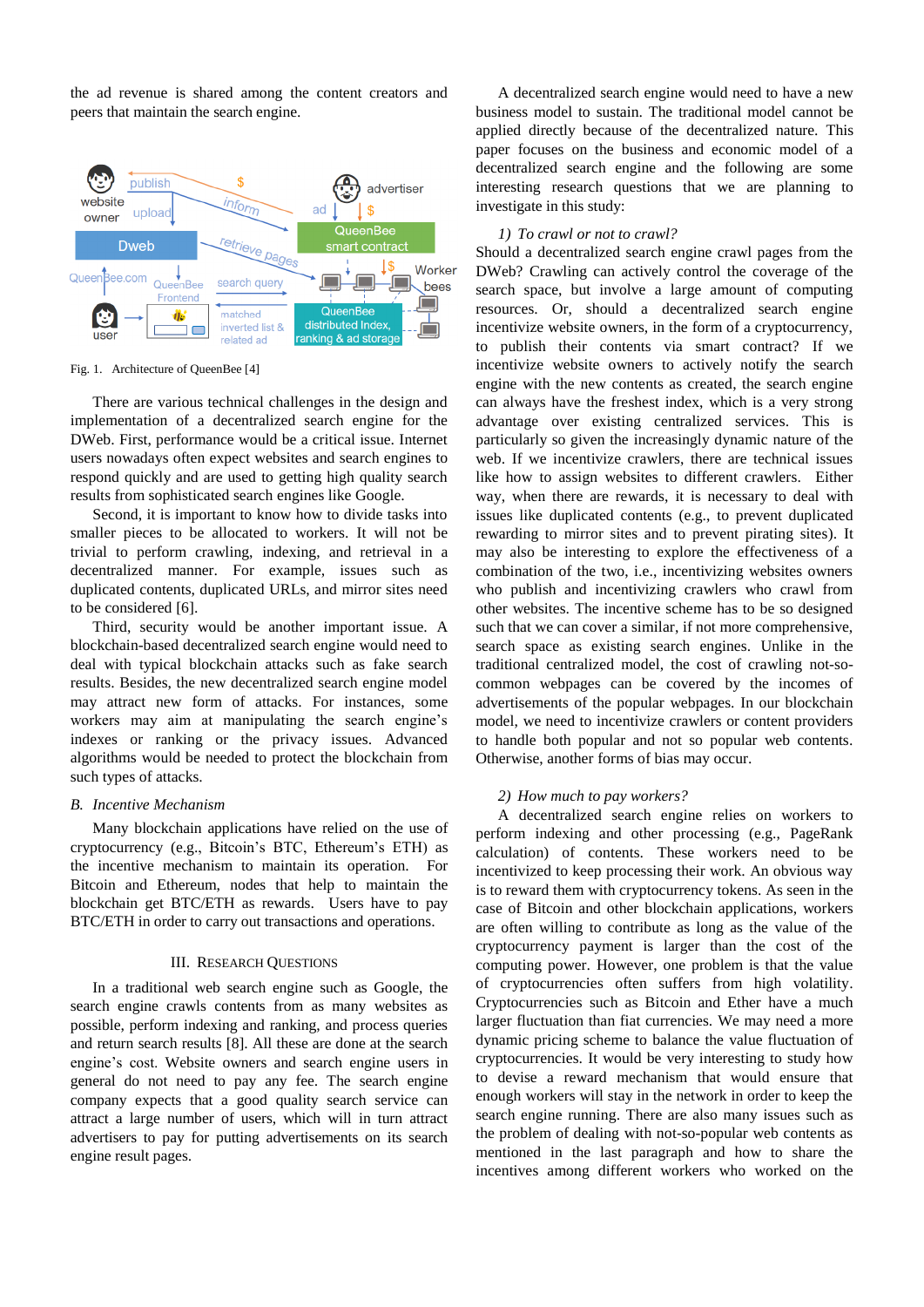the ad revenue is shared among the content creators and peers that maintain the search engine.



Fig. 1. Architecture of QueenBee [4]

There are various technical challenges in the design and implementation of a decentralized search engine for the DWeb. First, performance would be a critical issue. Internet users nowadays often expect websites and search engines to respond quickly and are used to getting high quality search results from sophisticated search engines like Google.

Second, it is important to know how to divide tasks into smaller pieces to be allocated to workers. It will not be trivial to perform crawling, indexing, and retrieval in a decentralized manner. For example, issues such as duplicated contents, duplicated URLs, and mirror sites need to be considered [6].

Third, security would be another important issue. A blockchain-based decentralized search engine would need to deal with typical blockchain attacks such as fake search results. Besides, the new decentralized search engine model may attract new form of attacks. For instances, some workers may aim at manipulating the search engine's indexes or ranking or the privacy issues. Advanced algorithms would be needed to protect the blockchain from such types of attacks.

#### *B. Incentive Mechanism*

Many blockchain applications have relied on the use of cryptocurrency (e.g., Bitcoin's BTC, Ethereum's ETH) as the incentive mechanism to maintain its operation. For Bitcoin and Ethereum, nodes that help to maintain the blockchain get BTC/ETH as rewards. Users have to pay BTC/ETH in order to carry out transactions and operations.

#### III. RESEARCH QUESTIONS

In a traditional web search engine such as Google, the search engine crawls contents from as many websites as possible, perform indexing and ranking, and process queries and return search results [8]. All these are done at the search engine's cost. Website owners and search engine users in general do not need to pay any fee. The search engine company expects that a good quality search service can attract a large number of users, which will in turn attract advertisers to pay for putting advertisements on its search engine result pages.

A decentralized search engine would need to have a new business model to sustain. The traditional model cannot be applied directly because of the decentralized nature. This paper focuses on the business and economic model of a decentralized search engine and the following are some interesting research questions that we are planning to investigate in this study:

#### *1) To crawl or not to crawl?*

Should a decentralized search engine crawl pages from the DWeb? Crawling can actively control the coverage of the search space, but involve a large amount of computing resources. Or, should a decentralized search engine incentivize website owners, in the form of a cryptocurrency, to publish their contents via smart contract? If we incentivize website owners to actively notify the search engine with the new contents as created, the search engine can always have the freshest index, which is a very strong advantage over existing centralized services. This is particularly so given the increasingly dynamic nature of the web. If we incentivize crawlers, there are technical issues like how to assign websites to different crawlers. Either way, when there are rewards, it is necessary to deal with issues like duplicated contents (e.g., to prevent duplicated rewarding to mirror sites and to prevent pirating sites). It may also be interesting to explore the effectiveness of a combination of the two, i.e., incentivizing websites owners who publish and incentivizing crawlers who crawl from other websites. The incentive scheme has to be so designed such that we can cover a similar, if not more comprehensive, search space as existing search engines. Unlike in the traditional centralized model, the cost of crawling not-socommon webpages can be covered by the incomes of advertisements of the popular webpages. In our blockchain model, we need to incentivize crawlers or content providers to handle both popular and not so popular web contents. Otherwise, another forms of bias may occur.

#### *2) How much to pay workers?*

A decentralized search engine relies on workers to perform indexing and other processing (e.g., PageRank calculation) of contents. These workers need to be incentivized to keep processing their work. An obvious way is to reward them with cryptocurrency tokens. As seen in the case of Bitcoin and other blockchain applications, workers are often willing to contribute as long as the value of the cryptocurrency payment is larger than the cost of the computing power. However, one problem is that the value of cryptocurrencies often suffers from high volatility. Cryptocurrencies such as Bitcoin and Ether have a much larger fluctuation than fiat currencies. We may need a more dynamic pricing scheme to balance the value fluctuation of cryptocurrencies. It would be very interesting to study how to devise a reward mechanism that would ensure that enough workers will stay in the network in order to keep the search engine running. There are also many issues such as the problem of dealing with not-so-popular web contents as mentioned in the last paragraph and how to share the incentives among different workers who worked on the